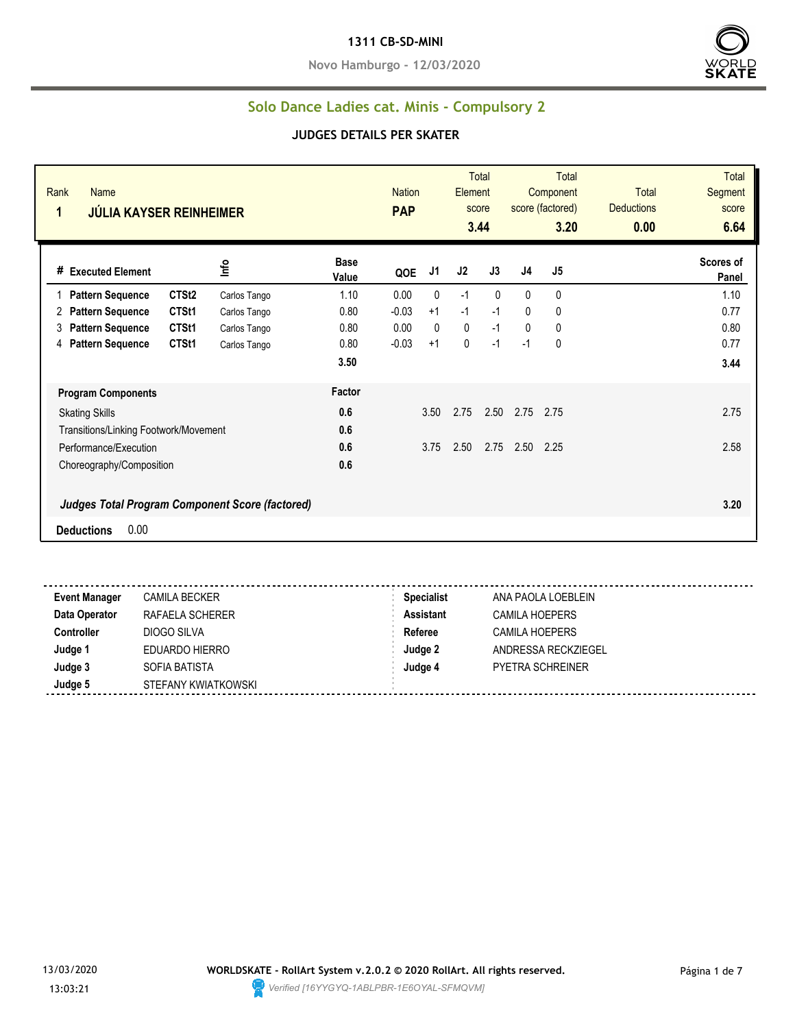#### **1311 CB-SD-MINI**

**Novo Hamburgo - 12/03/2020**



#### **Solo Dance Ladies cat. Minis - Compulsory 2**

#### **JUDGES DETAILS PER SKATER**

| Rank<br>Name<br>1<br><b>JÚLIA KAYSER REINHEIMER</b>    |                   |              |                      | <b>Nation</b><br><b>PAP</b> |              | Element        | Total<br>score<br>3.44 |                | <b>Total</b><br>Component<br>score (factored)<br>3.20 | <b>Total</b><br><b>Deductions</b><br>0.00 | <b>Total</b><br>Segment<br>score<br>6.64 |
|--------------------------------------------------------|-------------------|--------------|----------------------|-----------------------------|--------------|----------------|------------------------|----------------|-------------------------------------------------------|-------------------------------------------|------------------------------------------|
| # Executed Element                                     |                   | ١πρ          | <b>Base</b><br>Value | QOE                         | J1           | J <sub>2</sub> | J3                     | J <sub>4</sub> | J <sub>5</sub>                                        |                                           | Scores of<br>Panel                       |
| <b>Pattern Sequence</b>                                | CTSt <sub>2</sub> | Carlos Tango | 1.10                 | 0.00                        | $\mathbf{0}$ | $-1$           | $\Omega$               | $\mathbf{0}$   | 0                                                     |                                           | 1.10                                     |
| <b>Pattern Sequence</b><br>2                           | CTSt1             | Carlos Tango | 0.80                 | $-0.03$                     | $+1$         | $-1$           | $-1$                   | 0              | 0                                                     |                                           | 0.77                                     |
| <b>Pattern Sequence</b><br>3                           | CTSt1             | Carlos Tango | 0.80                 | 0.00                        | $\mathbf{0}$ | 0              | $-1$                   | 0              | 0                                                     |                                           | 0.80                                     |
| <b>Pattern Sequence</b><br>4                           | CTSt1             | Carlos Tango | 0.80                 | $-0.03$                     | $+1$         | 0              | $-1$                   | $-1$           | $\mathbf{0}$                                          |                                           | 0.77                                     |
|                                                        |                   |              | 3.50                 |                             |              |                |                        |                |                                                       |                                           | 3.44                                     |
| <b>Program Components</b>                              |                   |              | Factor               |                             |              |                |                        |                |                                                       |                                           |                                          |
| <b>Skating Skills</b>                                  |                   |              | 0.6                  |                             | 3.50         | 2.75           | 2.50                   | 2.75           | 2.75                                                  |                                           | 2.75                                     |
| Transitions/Linking Footwork/Movement                  |                   |              | 0.6                  |                             |              |                |                        |                |                                                       |                                           |                                          |
| Performance/Execution                                  |                   |              | 0.6                  |                             | 3.75         | 2.50           | 2.75                   | 2.50           | 2.25                                                  |                                           | 2.58                                     |
| Choreography/Composition                               |                   |              | 0.6                  |                             |              |                |                        |                |                                                       |                                           |                                          |
| <b>Judges Total Program Component Score (factored)</b> |                   |              |                      |                             |              |                |                        |                |                                                       |                                           | 3.20                                     |
| 0.00<br><b>Deductions</b>                              |                   |              |                      |                             |              |                |                        |                |                                                       |                                           |                                          |

**Event Manager** CAMILA BECKER **Specialist** ANA PAOLA LOEBLEIN **Data Operator** RAFAELA SCHERER **Assistant** CAMILA HOEPERS **Controller** DIOGO SILVA **Referee** CAMILA HOEPERS **Judge 1** EDUARDO HIERRO **Judge 2** ANDRESSA RECKZIEGEL **Judge 3** SOFIA BATISTA **Judge 4** PYETRA SCHREINER **Judge 5** STEFANY KWIATKOWSKI

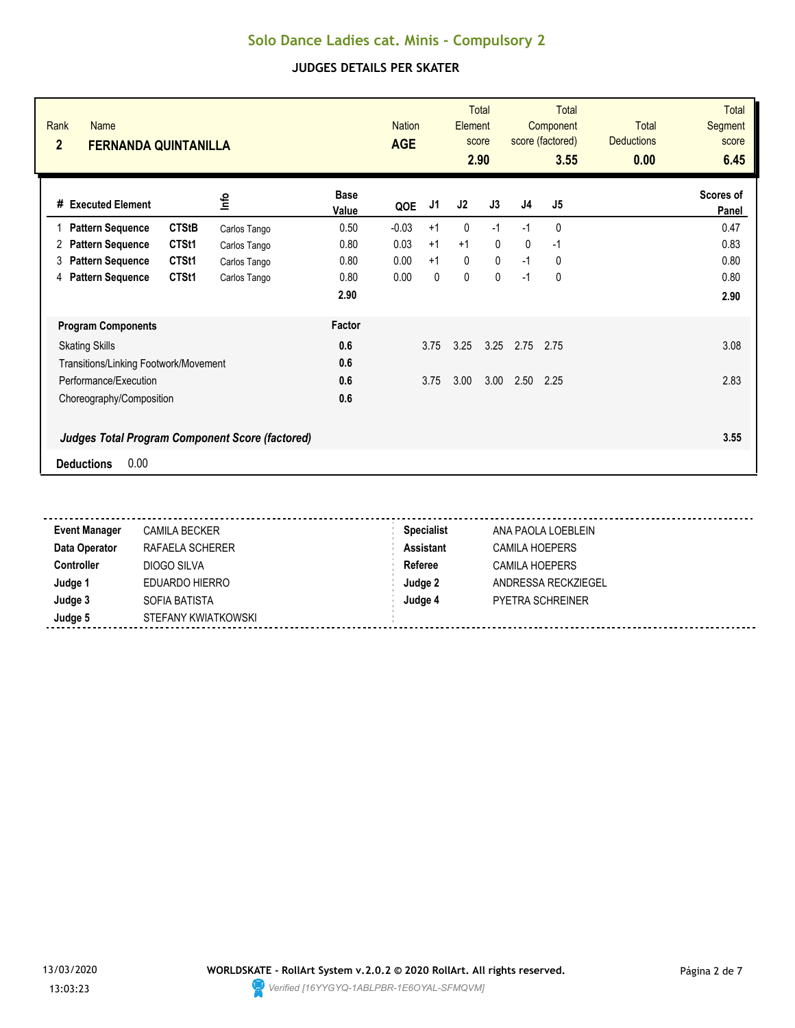| Rank<br><b>Name</b><br>$\overline{2}$<br><b>FERNANDA QUINTANILLA</b> |              |                      | <b>Nation</b><br><b>AGE</b> |      | Element      | <b>Total</b><br>score<br>2.90 |                | Total<br>Component<br>score (factored)<br>3.55 | <b>Total</b><br><b>Deductions</b><br>0.00 | <b>Total</b><br>Segment<br>score<br>6.45 |
|----------------------------------------------------------------------|--------------|----------------------|-----------------------------|------|--------------|-------------------------------|----------------|------------------------------------------------|-------------------------------------------|------------------------------------------|
| # Executed Element                                                   | lnfo         | <b>Base</b><br>Value | QOE                         | J1   | J2           | J3                            | J <sub>4</sub> | J5                                             |                                           | Scores of<br>Panel                       |
| <b>CTStB</b><br><b>Pattern Sequence</b><br>1                         | Carlos Tango | 0.50                 | $-0.03$                     | $+1$ | 0            | $-1$                          | $-1$           | 0                                              |                                           | 0.47                                     |
| <b>Pattern Sequence</b><br>CTSt1<br>2                                | Carlos Tango | 0.80                 | 0.03                        | $+1$ | $+1$         | $\mathbf{0}$                  | $\mathbf{0}$   | $-1$                                           |                                           | 0.83                                     |
| CTSt1<br><b>Pattern Sequence</b><br>3                                | Carlos Tango | 0.80                 | 0.00                        | $+1$ | $\mathbf 0$  | $\mathbf 0$                   | $-1$           | 0                                              |                                           | 0.80                                     |
| CTSt1<br><b>Pattern Sequence</b><br>4                                | Carlos Tango | 0.80                 | 0.00                        | 0    | $\mathbf{0}$ | $\mathbf{0}$                  | $-1$           | 0                                              |                                           | 0.80                                     |
|                                                                      |              | 2.90                 |                             |      |              |                               |                |                                                |                                           | 2.90                                     |
| <b>Program Components</b>                                            |              | Factor               |                             |      |              |                               |                |                                                |                                           |                                          |
| <b>Skating Skills</b>                                                |              | 0.6                  |                             | 3.75 | 3.25         | 3.25                          | 2.75           | 2.75                                           |                                           | 3.08                                     |
| Transitions/Linking Footwork/Movement                                |              | 0.6                  |                             |      |              |                               |                |                                                |                                           |                                          |
| Performance/Execution                                                |              | 0.6                  |                             | 3.75 | 3.00         | 3.00                          | 2.50           | 2.25                                           |                                           | 2.83                                     |
| Choreography/Composition                                             |              | 0.6                  |                             |      |              |                               |                |                                                |                                           |                                          |
| <b>Judges Total Program Component Score (factored)</b>               |              |                      |                             |      |              |                               |                |                                                |                                           | 3.55                                     |
| 0.00<br><b>Deductions</b>                                            |              |                      |                             |      |              |                               |                |                                                |                                           |                                          |

| <b>Event Manager</b> | <b>CAMILA BECKER</b> | <b>Specialist</b> | ANA PAOLA LOEBLEIN      |
|----------------------|----------------------|-------------------|-------------------------|
| Data Operator        | RAFAELA SCHERER      | Assistant         | CAMILA HOEPERS          |
| <b>Controller</b>    | DIOGO SILVA          | Referee           | <b>CAMILA HOEPERS</b>   |
| Judge 1              | EDUARDO HIERRO       | Judge 2           | ANDRESSA RECKZIEGEL     |
| Judge 3              | SOFIA BATISTA        | Judge 4           | <b>PYETRA SCHREINER</b> |
| Judge 5              | STEFANY KWIATKOWSKI  |                   |                         |

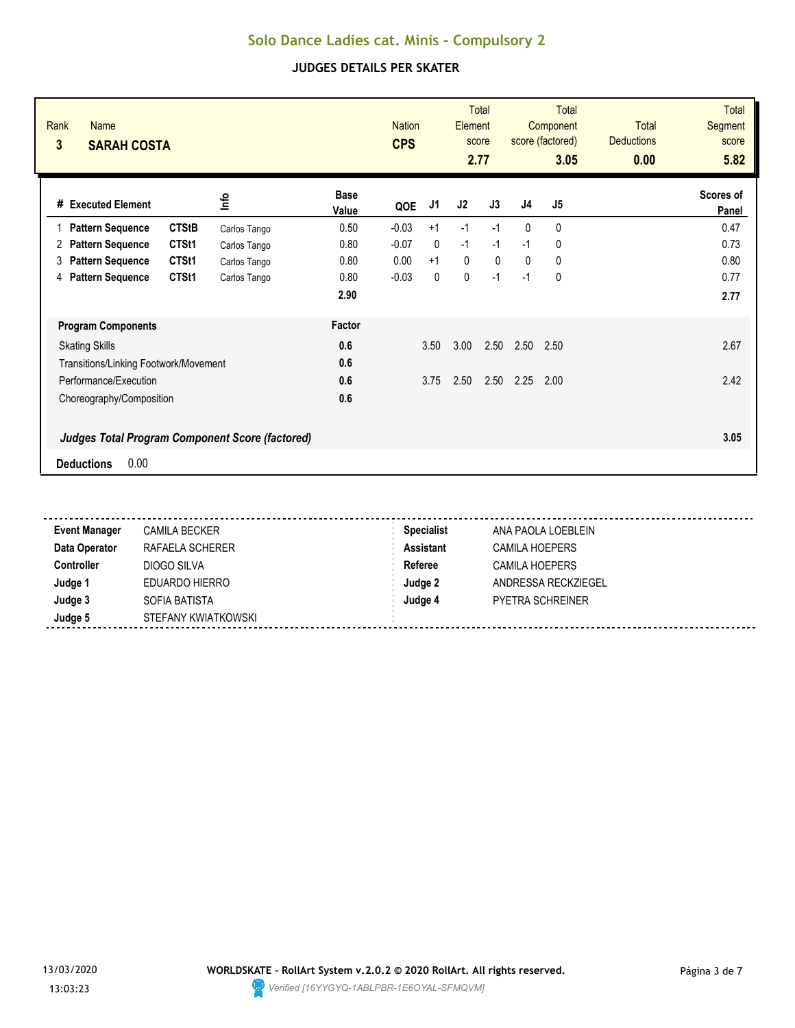| Rank<br>Name<br>3<br><b>SARAH COSTA</b>                                             |              |                      | <b>Nation</b><br><b>CPS</b> |              | Element     | <b>Total</b><br>score<br>2.77 |                | <b>Total</b><br>Component<br>score (factored)<br>3.05 | <b>Total</b><br><b>Deductions</b><br>0.00 | <b>Total</b><br><b>Segment</b><br>score<br>5.82 |
|-------------------------------------------------------------------------------------|--------------|----------------------|-----------------------------|--------------|-------------|-------------------------------|----------------|-------------------------------------------------------|-------------------------------------------|-------------------------------------------------|
| #<br><b>Executed Element</b>                                                        | ٩ų           | <b>Base</b><br>Value | QOE                         | J1           | J2          | J3                            | J <sub>4</sub> | J <sub>5</sub>                                        |                                           | Scores of<br>Panel                              |
| <b>CTStB</b><br><b>Pattern Sequence</b>                                             | Carlos Tango | 0.50                 | $-0.03$                     | $+1$         | $-1$        | $-1$                          | $\mathbf{0}$   | 0                                                     |                                           | 0.47                                            |
| CTSt1<br><b>Pattern Sequence</b><br>2                                               | Carlos Tango | 0.80                 | $-0.07$                     | $\mathbf{0}$ | $-1$        | $-1$                          | $-1$           | 0                                                     |                                           | 0.73                                            |
| CTSt1<br><b>Pattern Sequence</b><br>3                                               | Carlos Tango | 0.80                 | 0.00                        | $+1$         | $\mathbf 0$ | $\mathbf{0}$                  | $\mathbf{0}$   | $\mathbf{0}$                                          |                                           | 0.80                                            |
| <b>Pattern Sequence</b><br>CTSt1<br>4                                               | Carlos Tango | 0.80                 | $-0.03$                     | $\mathbf{0}$ | $\mathbf 0$ | $-1$                          | $-1$           | 0                                                     |                                           | 0.77                                            |
|                                                                                     |              | 2.90                 |                             |              |             |                               |                |                                                       |                                           | 2.77                                            |
| <b>Program Components</b>                                                           |              | Factor               |                             |              |             |                               |                |                                                       |                                           |                                                 |
| <b>Skating Skills</b>                                                               |              | 0.6                  |                             | 3.50         | 3.00        | 2.50                          | 2.50           | 2.50                                                  |                                           | 2.67                                            |
| Transitions/Linking Footwork/Movement                                               |              | 0.6                  |                             |              |             |                               |                |                                                       |                                           |                                                 |
| Performance/Execution                                                               |              | 0.6                  |                             | 3.75         | 2.50        | 2.50                          | 2.25           | 2.00                                                  |                                           | 2.42                                            |
| Choreography/Composition                                                            |              | 0.6                  |                             |              |             |                               |                |                                                       |                                           |                                                 |
| <b>Judges Total Program Component Score (factored)</b><br>0.00<br><b>Deductions</b> |              |                      |                             |              |             |                               |                |                                                       |                                           | 3.05                                            |

| <b>Event Manager</b> | <b>CAMILA BECKER</b> | <b>Specialist</b> | ANA PAOLA LOEBLEIN      |  |
|----------------------|----------------------|-------------------|-------------------------|--|
| Data Operator        | RAFAELA SCHERER      | <b>Assistant</b>  | <b>CAMILA HOEPERS</b>   |  |
| <b>Controller</b>    | DIOGO SILVA          | Referee           | CAMILA HOEPERS          |  |
| Judge 1              | EDUARDO HIERRO       | Judge 2           | ANDRESSA RECKZIEGEL     |  |
| Judge 3              | SOFIA BATISTA        | Judge 4           | <b>PYETRA SCHREINER</b> |  |
| Judge 5              | STEFANY KWIATKOWSKI  |                   |                         |  |

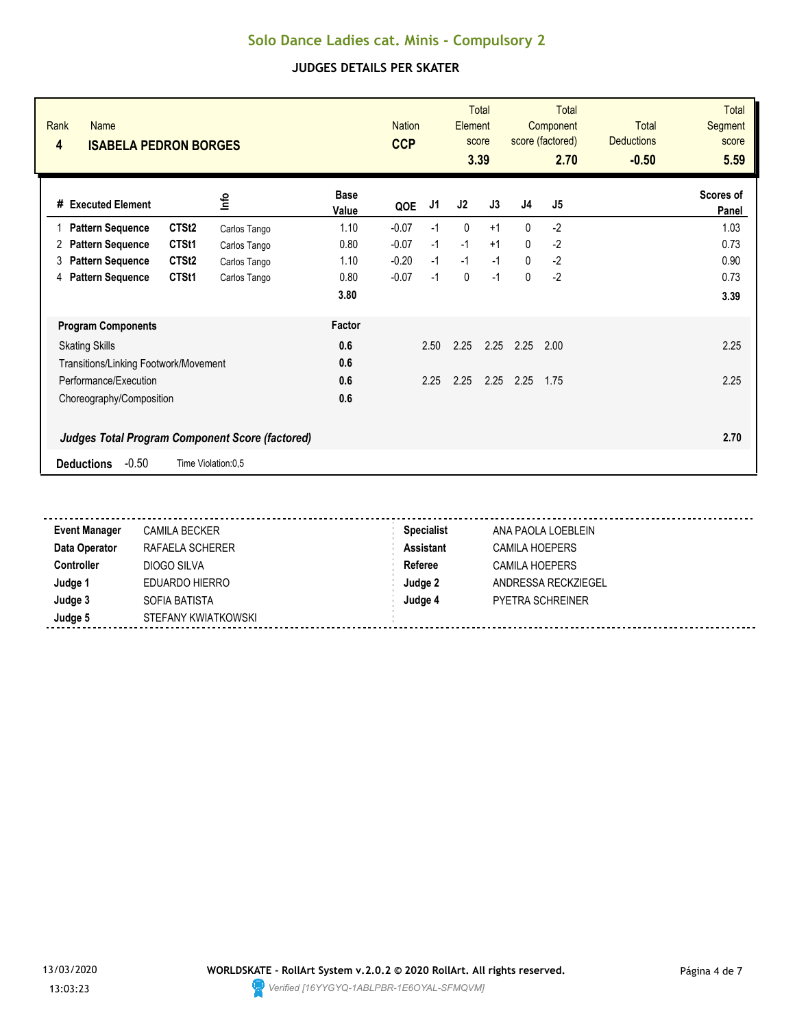| Rank<br><b>Name</b><br>4<br><b>ISABELA PEDRON BORGES</b> |                    |                      | <b>Nation</b><br><b>CCP</b> |      | <b>Element</b> | <b>Total</b><br>score<br>3.39 |                | <b>Total</b><br>Component<br>score (factored)<br>2.70 | <b>Total</b><br><b>Deductions</b><br>$-0.50$ | <b>Total</b><br>Segment<br>score<br>5.59 |
|----------------------------------------------------------|--------------------|----------------------|-----------------------------|------|----------------|-------------------------------|----------------|-------------------------------------------------------|----------------------------------------------|------------------------------------------|
| # Executed Element                                       | lnfo               | <b>Base</b><br>Value | QOE                         | J1   | J2             | J3                            | J <sub>4</sub> | J <sub>5</sub>                                        |                                              | Scores of<br>Panel                       |
| CTSt <sub>2</sub><br><b>Pattern Sequence</b>             | Carlos Tango       | 1.10                 | $-0.07$                     | $-1$ | 0              | $+1$                          | $\mathbf{0}$   | $-2$                                                  |                                              | 1.03                                     |
| CTSt1<br><b>Pattern Sequence</b><br>2                    | Carlos Tango       | 0.80                 | $-0.07$                     | $-1$ | $-1$           | $+1$                          | $\Omega$       | $-2$                                                  |                                              | 0.73                                     |
| CTSt <sub>2</sub><br><b>Pattern Sequence</b><br>3        | Carlos Tango       | 1.10                 | $-0.20$                     | $-1$ | $-1$           | $-1$                          | $\mathbf{0}$   | $-2$                                                  |                                              | 0.90                                     |
| CTSt1<br><b>Pattern Sequence</b><br>4                    | Carlos Tango       | 0.80                 | $-0.07$                     | $-1$ | 0              | $-1$                          | $\mathbf{0}$   | $-2$                                                  |                                              | 0.73                                     |
|                                                          |                    | 3.80                 |                             |      |                |                               |                |                                                       |                                              | 3.39                                     |
| <b>Program Components</b>                                |                    | Factor               |                             |      |                |                               |                |                                                       |                                              |                                          |
| <b>Skating Skills</b>                                    |                    | 0.6                  |                             | 2.50 | 2.25           | 2.25                          | 2.25           | 2.00                                                  |                                              | 2.25                                     |
| Transitions/Linking Footwork/Movement                    |                    | 0.6                  |                             |      |                |                               |                |                                                       |                                              |                                          |
| Performance/Execution                                    |                    | 0.6                  |                             | 2.25 | 2.25           | 2.25                          | 2.25           | 1.75                                                  |                                              | 2.25                                     |
| Choreography/Composition                                 |                    | 0.6                  |                             |      |                |                               |                |                                                       |                                              |                                          |
| <b>Judges Total Program Component Score (factored)</b>   |                    |                      |                             |      |                |                               |                |                                                       |                                              | 2.70                                     |
| $-0.50$<br><b>Deductions</b>                             | Time Violation:0,5 |                      |                             |      |                |                               |                |                                                       |                                              |                                          |

| <b>Event Manager</b> | <b>CAMILA BECKER</b> | <b>Specialist</b> | ANA PAOLA LOEBLEIN      |
|----------------------|----------------------|-------------------|-------------------------|
| Data Operator        | RAFAELA SCHERER      | Assistant         | CAMILA HOEPERS          |
| <b>Controller</b>    | DIOGO SILVA          | Referee           | CAMILA HOEPERS          |
| Judge 1              | EDUARDO HIERRO       | Judge 2           | ANDRESSA RECKZIEGEL     |
| Judge 3              | SOFIA BATISTA        | Judge 4           | <b>PYETRA SCHREINER</b> |
| Judge 5              | STEFANY KWIATKOWSKI  |                   |                         |

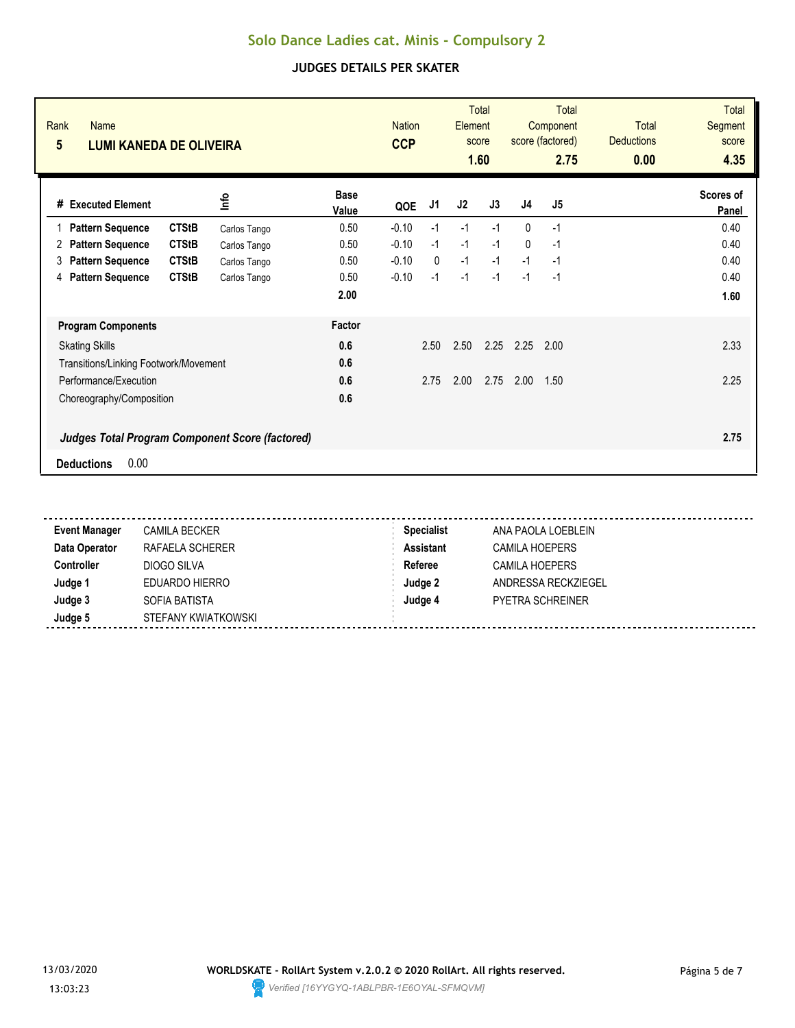| Rank<br><b>Name</b><br>$5\overline{)}$<br><b>LUMI KANEDA DE OLIVEIRA</b> |              |                      | <b>Nation</b><br><b>CCP</b> |              | Element | <b>Total</b><br>score<br>1.60 |                | Total<br>Component<br>score (factored)<br>2.75 | Total<br><b>Deductions</b><br>0.00 | <b>Total</b><br>Segment<br>score<br>4.35 |
|--------------------------------------------------------------------------|--------------|----------------------|-----------------------------|--------------|---------|-------------------------------|----------------|------------------------------------------------|------------------------------------|------------------------------------------|
| # Executed Element                                                       | lnfo         | <b>Base</b><br>Value | QOE                         | J1           | J2      | J3                            | J <sub>4</sub> | J <sub>5</sub>                                 |                                    | Scores of<br>Panel                       |
| <b>CTStB</b><br><b>Pattern Sequence</b><br>1                             | Carlos Tango | 0.50                 | $-0.10$                     | $-1$         | $-1$    | $-1$                          | $\mathbf{0}$   | $-1$                                           |                                    | 0.40                                     |
| <b>CTStB</b><br><b>Pattern Sequence</b><br>2                             | Carlos Tango | 0.50                 | $-0.10$                     | $-1$         | $-1$    | $-1$                          | $\mathbf{0}$   | $-1$                                           |                                    | 0.40                                     |
| <b>Pattern Sequence</b><br><b>CTStB</b><br>3                             | Carlos Tango | 0.50                 | $-0.10$                     | $\mathbf{0}$ | $-1$    | $-1$                          | $-1$           | $-1$                                           |                                    | 0.40                                     |
| <b>Pattern Sequence</b><br><b>CTStB</b><br>4                             | Carlos Tango | 0.50                 | $-0.10$                     | $-1$         | $-1$    | $-1$                          | $-1$           | $-1$                                           |                                    | 0.40                                     |
|                                                                          |              | 2.00                 |                             |              |         |                               |                |                                                |                                    | 1.60                                     |
| <b>Program Components</b>                                                |              | Factor               |                             |              |         |                               |                |                                                |                                    |                                          |
| <b>Skating Skills</b>                                                    |              | 0.6                  |                             | 2.50         | 2.50    | 2.25                          | 2.25           | 2.00                                           |                                    | 2.33                                     |
| Transitions/Linking Footwork/Movement                                    |              | 0.6                  |                             |              |         |                               |                |                                                |                                    |                                          |
| Performance/Execution                                                    |              | 0.6                  |                             | 2.75         | 2.00    | 2.75                          | 2.00           | 1.50                                           |                                    | 2.25                                     |
| Choreography/Composition                                                 |              | 0.6                  |                             |              |         |                               |                |                                                |                                    |                                          |
| <b>Judges Total Program Component Score (factored)</b>                   |              |                      |                             |              |         |                               |                |                                                |                                    | 2.75                                     |
| 0.00<br><b>Deductions</b>                                                |              |                      |                             |              |         |                               |                |                                                |                                    |                                          |

| <b>Event Manager</b> | <b>CAMILA BECKER</b> | <b>Specialist</b> | ANA PAOLA LOEBLEIN      |
|----------------------|----------------------|-------------------|-------------------------|
| Data Operator        | RAFAELA SCHERER      | Assistant         | CAMILA HOEPERS          |
| <b>Controller</b>    | DIOGO SILVA          | Referee           | <b>CAMILA HOEPERS</b>   |
| Judge 1              | EDUARDO HIERRO       | Judge 2           | ANDRESSA RECKZIEGEL     |
| Judge 3              | SOFIA BATISTA        | Judge 4           | <b>PYETRA SCHREINER</b> |
| Judge 5              | STEFANY KWIATKOWSKI  |                   |                         |

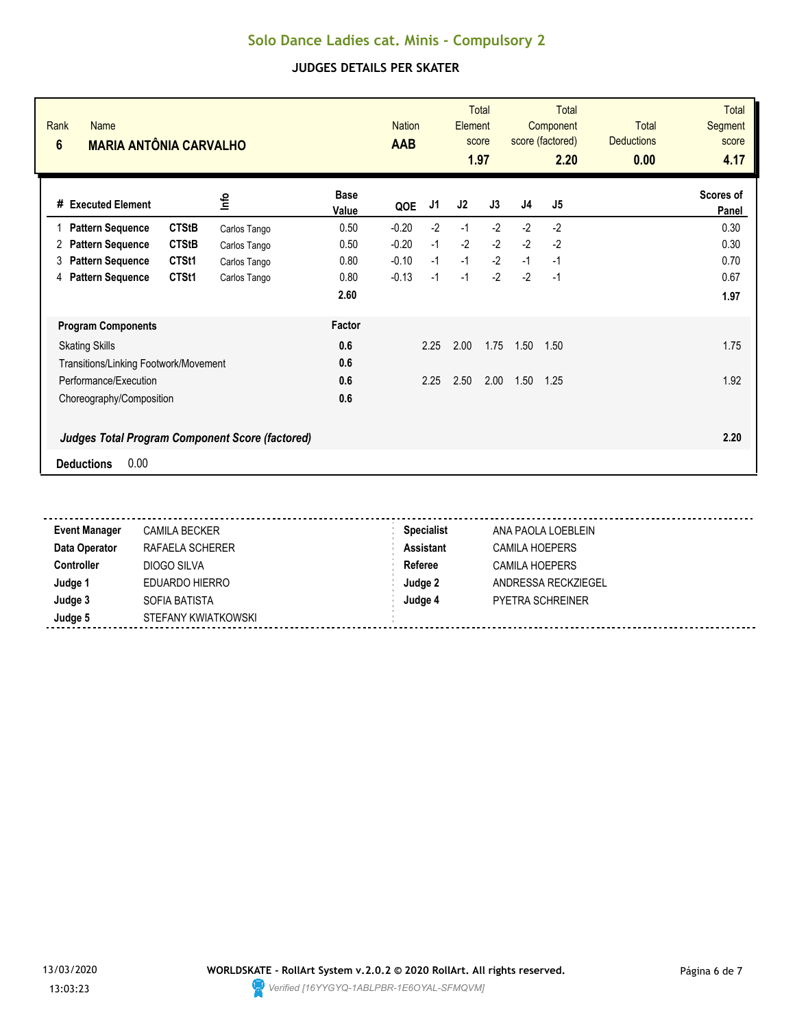| Rank<br><b>Name</b><br>$6\phantom{1}$<br><b>MARIA ANTÔNIA CARVALHO</b> |              |                      | <b>Nation</b><br><b>AAB</b> |      | Element | <b>Total</b><br>score<br>1.97 |                | <b>Total</b><br>Component<br>score (factored)<br>2.20 | <b>Total</b><br><b>Deductions</b><br>0.00 | <b>Total</b><br><b>Segment</b><br>score<br>4.17 |
|------------------------------------------------------------------------|--------------|----------------------|-----------------------------|------|---------|-------------------------------|----------------|-------------------------------------------------------|-------------------------------------------|-------------------------------------------------|
| #<br><b>Executed Element</b>                                           | lnfo         | <b>Base</b><br>Value | QOE                         | J1   | J2      | J3                            | J <sub>4</sub> | J5                                                    |                                           | Scores of<br>Panel                              |
| <b>CTStB</b><br><b>Pattern Sequence</b><br>1                           | Carlos Tango | 0.50                 | $-0.20$                     | $-2$ | $-1$    | $-2$                          | $-2$           | $-2$                                                  |                                           | 0.30                                            |
| <b>CTStB</b><br><b>Pattern Sequence</b><br>2                           | Carlos Tango | 0.50                 | $-0.20$                     | $-1$ | $-2$    | $-2$                          | $-2$           | $-2$                                                  |                                           | 0.30                                            |
| CTSt1<br><b>Pattern Sequence</b><br>3                                  | Carlos Tango | 0.80                 | $-0.10$                     | $-1$ | $-1$    | $-2$                          | $-1$           | $-1$                                                  |                                           | 0.70                                            |
| CTSt1<br><b>Pattern Sequence</b><br>4                                  | Carlos Tango | 0.80                 | $-0.13$                     | $-1$ | $-1$    | $-2$                          | $-2$           | $-1$                                                  |                                           | 0.67                                            |
|                                                                        |              | 2.60                 |                             |      |         |                               |                |                                                       |                                           | 1.97                                            |
| <b>Program Components</b>                                              |              | Factor               |                             |      |         |                               |                |                                                       |                                           |                                                 |
| <b>Skating Skills</b>                                                  |              | 0.6                  |                             | 2.25 | 2.00    | 1.75                          | 1.50           | 1.50                                                  |                                           | 1.75                                            |
| Transitions/Linking Footwork/Movement                                  |              | 0.6                  |                             |      |         |                               |                |                                                       |                                           |                                                 |
| Performance/Execution                                                  |              | 0.6                  |                             | 2.25 | 2.50    | 2.00                          | 1.50           | 1.25                                                  |                                           | 1.92                                            |
| Choreography/Composition                                               |              | 0.6                  |                             |      |         |                               |                |                                                       |                                           |                                                 |
| <b>Judges Total Program Component Score (factored)</b>                 |              |                      |                             |      |         |                               |                |                                                       |                                           | 2.20                                            |
| 0.00<br><b>Deductions</b>                                              |              |                      |                             |      |         |                               |                |                                                       |                                           |                                                 |

| <b>Event Manager</b> | <b>CAMILA BECKER</b> | <b>Specialist</b> | ANA PAOLA LOEBLEIN      |
|----------------------|----------------------|-------------------|-------------------------|
| Data Operator        | RAFAELA SCHERER      | <b>Assistant</b>  | CAMILA HOEPERS          |
| <b>Controller</b>    | DIOGO SILVA          | Referee           | CAMILA HOEPERS          |
| Judge 1              | EDUARDO HIERRO       | Judge 2           | ANDRESSA RECKZIEGEL     |
| Judge 3              | SOFIA BATISTA        | Judge 4           | <b>PYETRA SCHREINER</b> |
| Judge 5              | STEFANY KWIATKOWSKI  |                   |                         |